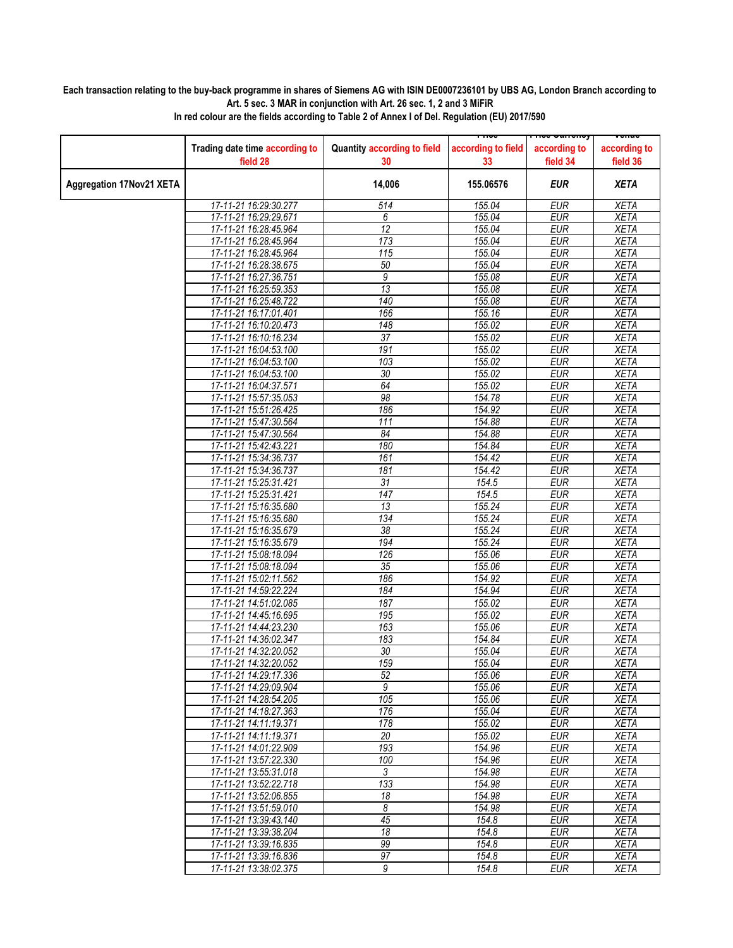## **Each transaction relating to the buy-back programme in shares of Siemens AG with ISIN DE0007236101 by UBS AG, London Branch according to Art. 5 sec. 3 MAR in conjunction with Art. 26 sec. 1, 2 and 3 MiFiR**

|                                 |                                                |                                   | ᡣᡙ                       | <del>noc ounchcy</del>   | venue                      |
|---------------------------------|------------------------------------------------|-----------------------------------|--------------------------|--------------------------|----------------------------|
|                                 | Trading date time according to<br>field 28     | Quantity according to field<br>30 | according to field<br>33 | according to<br>field 34 | according to<br>field 36   |
| <b>Aggregation 17Nov21 XETA</b> |                                                | 14,006                            | 155.06576                | <b>EUR</b>               | <b>XETA</b>                |
|                                 | 17-11-21 16:29:30.277                          | 514                               | 155.04                   | <b>EUR</b>               | <b>XETA</b>                |
|                                 | 17-11-21 16:29:29.671                          | 6                                 | 155.04                   | <b>EUR</b>               | <b>XETA</b>                |
|                                 | 17-11-21 16:28:45.964                          | $\overline{12}$                   | 155.04                   | <b>EUR</b>               | <b>XETA</b>                |
|                                 | 17-11-21 16:28:45.964                          | 173                               | 155.04                   | <b>EUR</b>               | <b>XETA</b>                |
|                                 | 17-11-21 16:28:45.964                          | $\overline{115}$                  | 155.04                   | <b>EUR</b>               | <b>XETA</b>                |
|                                 | 17-11-21 16:28:38.675                          | 50                                | 155.04                   | <b>EUR</b>               | <b>XETA</b>                |
|                                 | 17-11-21 16:27:36.751                          | 9                                 | 155.08                   | <b>EUR</b>               | <b>XETA</b>                |
|                                 | 17-11-21 16:25:59.353                          | 13                                | 155.08                   | <b>EUR</b>               | <b>XETA</b>                |
|                                 | 17-11-21 16:25:48.722                          | 140                               | 155.08                   | <b>EUR</b>               | <b>XETA</b>                |
|                                 | 17-11-21 16:17:01.401                          | 166                               | 155.16                   | <b>EUR</b>               | <b>XETA</b>                |
|                                 | 17-11-21 16:10:20.473                          | 148                               | 155.02                   | <b>EUR</b>               | <b>XETA</b>                |
|                                 | 17-11-21 16:10:16.234                          | $\overline{37}$                   | 155.02                   | <b>EUR</b>               | <b>XETA</b>                |
|                                 | 17-11-21 16:04:53.100                          | 191                               | 155.02                   | <b>EUR</b>               | <b>XETA</b>                |
|                                 | 17-11-21 16:04:53.100                          | 103                               | 155.02                   | <b>EUR</b>               | <b>XETA</b>                |
|                                 | 17-11-21 16:04:53.100                          | $\overline{30}$                   | 155.02                   | <b>EUR</b>               | <b>XETA</b>                |
|                                 | 17-11-21 16:04:37.571                          | 64                                | 155.02                   | <b>EUR</b>               | <b>XETA</b>                |
|                                 | 17-11-21 15:57:35.053                          | 98                                | 154.78                   | <b>EUR</b>               | <b>XETA</b>                |
|                                 | 17-11-21 15:51:26.425                          | 186                               | 154.92                   | <b>EUR</b>               | <b>XETA</b>                |
|                                 | 17-11-21 15:47:30.564                          | 111                               | 154.88                   | <b>EUR</b>               | <b>XETA</b>                |
|                                 | 17-11-21 15:47:30.564                          | 84                                | 154.88                   | <b>EUR</b>               | <b>XETA</b>                |
|                                 | 17-11-21 15:42:43.221                          | 180                               | 154.84                   | <b>EUR</b>               | <b>XETA</b>                |
|                                 | 17-11-21 15:34:36.737                          | 161                               | 154.42                   | <b>EUR</b>               | <b>XETA</b>                |
|                                 | 17-11-21 15:34:36.737                          | 181                               | 154.42                   | <b>EUR</b>               | <b>XETA</b>                |
|                                 | 17-11-21 15:25:31.421                          | 31                                | 154.5                    | <b>EUR</b>               | <b>XETA</b>                |
|                                 | 17-11-21 15:25:31.421                          | 147                               | 154.5                    | <b>EUR</b>               | <b>XETA</b>                |
|                                 | 17-11-21 15:16:35.680                          | 13                                | 155.24                   | <b>EUR</b>               | <b>XETA</b>                |
|                                 | 17-11-21 15:16:35.680                          | 134                               | 155.24                   | <b>EUR</b>               | <b>XETA</b>                |
|                                 | 17-11-21 15:16:35.679                          | 38                                | 155.24                   | <b>EUR</b>               | <b>XETA</b>                |
|                                 | 17-11-21 15:16:35.679                          | 194                               | 155.24                   | <b>EUR</b>               | <b>XETA</b>                |
|                                 | 17-11-21 15:08:18.094                          | 126                               | 155.06                   | <b>EUR</b>               | <b>XETA</b>                |
|                                 | 17-11-21 15:08:18.094                          | 35                                | 155.06                   | <b>EUR</b>               | <b>XETA</b>                |
|                                 | 17-11-21 15:02:11.562                          | 186                               | 154.92                   | <b>EUR</b>               | <b>XETA</b>                |
|                                 | 17-11-21 14:59:22.224                          | 184                               | 154.94                   | <b>EUR</b>               | <b>XETA</b>                |
|                                 | 17-11-21 14:51:02.085                          | 187                               | 155.02                   | <b>EUR</b>               | <b>XETA</b>                |
|                                 |                                                |                                   | 155.02                   |                          |                            |
|                                 | 17-11-21 14:45:16.695<br>17-11-21 14:44:23.230 | 195<br>163                        | 155.06                   | <b>EUR</b><br><b>EUR</b> | <b>XETA</b><br><b>XETA</b> |
|                                 | 17-11-21 14:36:02.347                          | 183                               | 154.84                   | <b>EUR</b>               | <b>XETA</b>                |
|                                 | 17-11-21 14:32:20.052                          | $\overline{30}$                   | 155.04                   | <b>EUR</b>               | <b>XETA</b>                |
|                                 |                                                | 159                               | 155.04                   | <b>EUR</b>               | <b>XETA</b>                |
|                                 | 17-11-21 14:32:20.052<br>17-11-21 14:29:17.336 | 52                                | 155.06                   | <b>EUR</b>               | <b>XETA</b>                |
|                                 | 17-11-21 14:29:09.904                          | 9                                 | 155.06                   | <b>EUR</b>               | <b>XETA</b>                |
|                                 | 17-11-21 14:28:54.205                          | 105                               |                          |                          |                            |
|                                 |                                                | 176                               | 155.06                   | <b>EUR</b><br><b>EUR</b> | XETA                       |
|                                 | 17-11-21 14:18:27.363<br>17-11-21 14:11:19.371 | 178                               | 155.04<br>155.02         | EUR                      | <b>XETA</b><br><b>XETA</b> |
|                                 |                                                | 20                                |                          |                          |                            |
|                                 | 17-11-21 14:11:19.371                          | 193                               | 155.02                   | <b>EUR</b><br><b>EUR</b> | <b>XETA</b>                |
|                                 | 17-11-21 14:01:22.909                          |                                   | 154.96                   | <b>EUR</b>               | <b>XETA</b>                |
|                                 | 17-11-21 13:57:22.330                          | 100                               | 154.96<br>154.98         |                          | <b>XETA</b>                |
|                                 | 17-11-21 13:55:31.018                          | 3<br>133                          | 154.98                   | EUR<br><b>EUR</b>        | XETA<br><b>XETA</b>        |
|                                 | 17-11-21 13:52:22.718                          |                                   |                          |                          |                            |
|                                 | 17-11-21 13:52:06.855                          | $\overline{18}$                   | 154.98                   | <b>EUR</b>               | <b>XETA</b>                |
|                                 | 17-11-21 13:51:59.010                          | 8<br>45                           | 154.98<br>154.8          | <b>EUR</b><br><b>EUR</b> | XETA<br><b>XETA</b>        |
|                                 | 17-11-21 13:39:43.140                          | 18                                |                          |                          |                            |
|                                 | 17-11-21 13:39:38.204                          |                                   | 154.8                    | <b>EUR</b>               | <b>XETA</b>                |
|                                 | 17-11-21 13:39:16.835                          | 99                                | 154.8                    | <b>EUR</b>               | XETA                       |
|                                 | 17-11-21 13:39:16.836                          | $\overline{97}$                   | 154.8                    | EUR                      | <b>XETA</b>                |
|                                 | 17-11-21 13:38:02.375                          | 9                                 | 154.8                    | EUR                      | <b>XETA</b>                |

**In red colour are the fields according to Table 2 of Annex I of Del. Regulation (EU) 2017/590**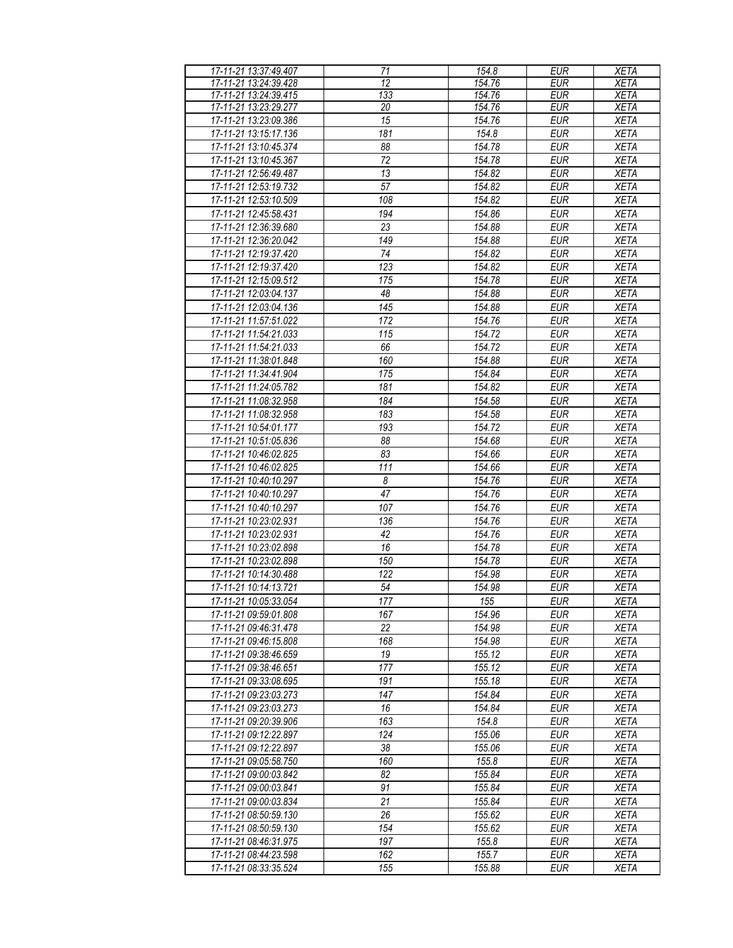| 17-11-21 13:37:49.407 | 71               | 154.8  | <b>EUR</b>                | <b>XETA</b> |
|-----------------------|------------------|--------|---------------------------|-------------|
| 17-11-21 13:24:39.428 | 12               | 154.76 | <b>EUR</b>                | <b>XETA</b> |
| 17-11-21 13:24:39.415 | $\overline{133}$ | 154.76 | <b>EUR</b>                | <b>XETA</b> |
| 17-11-21 13:23:29.277 | 20               | 154.76 | <b>EUR</b>                | <b>XETA</b> |
| 17-11-21 13:23:09.386 | $\overline{15}$  | 154.76 | <b>EUR</b>                | <b>XETA</b> |
| 17-11-21 13:15:17.136 | 181              | 154.8  | <b>EUR</b>                | <b>XETA</b> |
|                       |                  |        |                           |             |
| 17-11-21 13:10:45.374 | 88               | 154.78 | <b>EUR</b>                | <b>XETA</b> |
| 17-11-21 13:10:45.367 | 72               | 154.78 | <b>EUR</b>                | <b>XETA</b> |
| 17-11-21 12:56:49.487 | 13               | 154.82 | <b>EUR</b>                | <b>XETA</b> |
| 17-11-21 12:53:19.732 | 57               | 154.82 | <b>EUR</b>                | <b>XETA</b> |
| 17-11-21 12:53:10.509 | 108              | 154.82 | <b>EUR</b>                | <b>XETA</b> |
| 17-11-21 12:45:58.431 | 194              | 154.86 | <b>EUR</b>                | <b>XETA</b> |
| 17-11-21 12:36:39.680 | 23               | 154.88 | <b>EUR</b>                | <b>XETA</b> |
| 17-11-21 12:36:20.042 | 149              | 154.88 | <b>EUR</b>                | <b>XETA</b> |
| 17-11-21 12:19:37.420 | 74               | 154.82 | <b>EUR</b>                | <b>XETA</b> |
| 17-11-21 12:19:37.420 | 123              | 154.82 | <b>EUR</b>                | <b>XETA</b> |
| 17-11-21 12:15:09.512 | 175              | 154.78 | <b>EUR</b>                | <b>XETA</b> |
| 17-11-21 12:03:04.137 | 48               | 154.88 | <b>EUR</b>                | <b>XETA</b> |
| 17-11-21 12:03:04.136 | 145              | 154.88 | <b>EUR</b>                | <b>XETA</b> |
|                       |                  |        |                           |             |
| 17-11-21 11:57:51.022 | 172              | 154.76 | <b>EUR</b>                | <b>XETA</b> |
| 17-11-21 11:54:21.033 | 115              | 154.72 | <b>EUR</b>                | <b>XETA</b> |
| 17-11-21 11:54:21.033 | 66               | 154.72 | <b>EUR</b>                | <b>XETA</b> |
| 17-11-21 11:38:01.848 | 160              | 154.88 | <b>EUR</b>                | <b>XETA</b> |
| 17-11-21 11:34:41.904 | 175              | 154.84 | <b>EUR</b>                | <b>XETA</b> |
| 17-11-21 11:24:05.782 | 181              | 154.82 | <b>EUR</b>                | <b>XETA</b> |
| 17-11-21 11:08:32.958 | 184              | 154.58 | <b>EUR</b>                | <b>XETA</b> |
| 17-11-21 11:08:32.958 | 183              | 154.58 | <b>EUR</b>                | <b>XETA</b> |
| 17-11-21 10:54:01.177 | 193              | 154.72 | <b>EUR</b>                | <b>XETA</b> |
| 17-11-21 10:51:05.836 | 88               | 154.68 | <b>EUR</b>                | <b>XETA</b> |
| 17-11-21 10:46:02.825 | 83               | 154.66 | <b>EUR</b>                | <b>XETA</b> |
| 17-11-21 10:46:02.825 | 111              | 154.66 | <b>EUR</b>                | <b>XETA</b> |
| 17-11-21 10:40:10.297 | 8                | 154.76 | <b>EUR</b>                | <b>XETA</b> |
| 17-11-21 10:40:10.297 | 47               | 154.76 | <b>EUR</b>                | <b>XETA</b> |
|                       |                  |        |                           |             |
| 17-11-21 10:40:10.297 | 107              | 154.76 | <b>EUR</b>                | <b>XETA</b> |
| 17-11-21 10:23:02.931 | 136              | 154.76 | <b>EUR</b>                | <b>XETA</b> |
| 17-11-21 10:23:02.931 | 42               | 154.76 | <b>EUR</b>                | <b>XETA</b> |
| 17-11-21 10:23:02.898 | 16               | 154.78 | <b>EUR</b>                | <b>XETA</b> |
| 17-11-21 10:23:02.898 | 150              | 154.78 | EUR                       | <b>XETA</b> |
| 17-11-21 10:14:30.488 | 122              | 154.98 | <b>EUR</b>                | <b>XETA</b> |
| 17-11-21 10:14:13.721 | 54               | 154.98 | <b>EUR</b>                | <b>XETA</b> |
| 17-11-21 10:05:33.054 | 177              | 155    | $E \mathsf{U} \mathsf{R}$ | <b>XETA</b> |
| 17-11-21 09:59:01.808 | 167              | 154.96 | EUR                       | XETA        |
| 17-11-21 09:46:31.478 | 22               | 154.98 | <b>EUR</b>                | <b>XETA</b> |
| 17-11-21 09:46:15.808 | 168              | 154.98 | <b>EUR</b>                | <b>XETA</b> |
| 17-11-21 09:38:46.659 | 19               | 155.12 | <b>EUR</b>                | XETA        |
| 17-11-21 09:38:46.651 | 177              | 155.12 | <b>EUR</b>                | <b>XETA</b> |
| 17-11-21 09:33:08.695 | 191              | 155.18 | <b>EUR</b>                | <b>XETA</b> |
| 17-11-21 09:23:03.273 | 147              | 154.84 | <b>EUR</b>                | <b>XETA</b> |
| 17-11-21 09:23:03.273 | 16               | 154.84 | <b>EUR</b>                | <b>XETA</b> |
|                       | 163              | 154.8  | <b>EUR</b>                | <b>XETA</b> |
| 17-11-21 09:20:39.906 |                  |        |                           |             |
| 17-11-21 09:12:22.897 | 124              | 155.06 | <b>EUR</b>                | <b>XETA</b> |
| 17-11-21 09:12:22.897 | 38               | 155.06 | <b>EUR</b>                | <b>XETA</b> |
| 17-11-21 09:05:58.750 | 160              | 155.8  | <b>EUR</b>                | <b>XETA</b> |
| 17-11-21 09:00:03.842 | 82               | 155.84 | <b>EUR</b>                | <b>XETA</b> |
| 17-11-21 09:00:03.841 | 91               | 155.84 | <b>EUR</b>                | <b>XETA</b> |
| 17-11-21 09:00:03.834 | 21               | 155.84 | <b>EUR</b>                | <b>XETA</b> |
| 17-11-21 08:50:59.130 | 26               | 155.62 | <b>EUR</b>                | <b>XETA</b> |
| 17-11-21 08:50:59.130 | 154              | 155.62 | <b>EUR</b>                | <b>XETA</b> |
| 17-11-21 08:46:31.975 | 197              | 155.8  | <b>EUR</b>                | <b>XETA</b> |
| 17-11-21 08:44:23.598 | 162              | 155.7  | EUR                       | <b>XETA</b> |
| 17-11-21 08:33:35.524 | 155              | 155.88 | EUR                       | <b>XETA</b> |
|                       |                  |        |                           |             |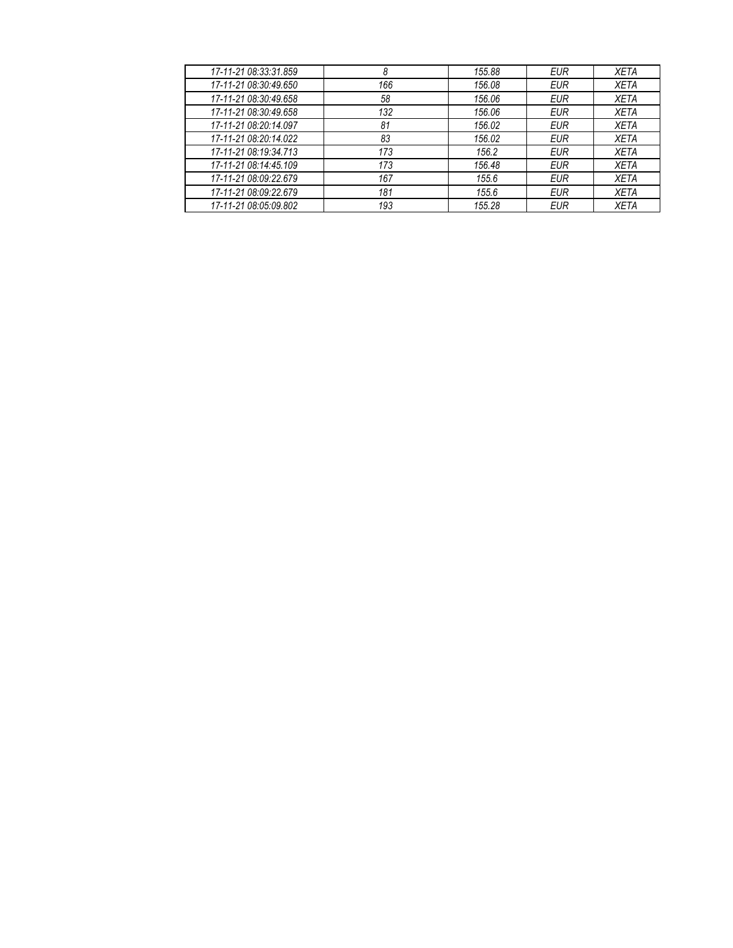| 17-11-21 08:33:31.859 | 8   | 155.88 | <b>EUR</b> | <b>XETA</b> |
|-----------------------|-----|--------|------------|-------------|
| 17-11-21 08:30:49.650 | 166 | 156.08 | <b>EUR</b> | <b>XETA</b> |
| 17-11-21 08:30:49.658 | 58  | 156.06 | <b>EUR</b> | <b>XETA</b> |
| 17-11-21 08:30:49.658 | 132 | 156.06 | <b>EUR</b> | <b>XETA</b> |
| 17-11-21 08:20:14.097 | 81  | 156.02 | <b>EUR</b> | <b>XETA</b> |
| 17-11-21 08:20:14.022 | 83  | 156.02 | <b>EUR</b> | <b>XETA</b> |
| 17-11-21 08:19:34.713 | 173 | 156.2  | <b>EUR</b> | <b>XETA</b> |
| 17-11-21 08:14:45.109 | 173 | 156.48 | <b>EUR</b> | <b>XETA</b> |
| 17-11-21 08:09:22.679 | 167 | 155.6  | <b>EUR</b> | <b>XETA</b> |
| 17-11-21 08:09:22.679 | 181 | 155.6  | EUR        | <b>XETA</b> |
| 17-11-21 08:05:09.802 | 193 | 155.28 | EUR        | <b>XETA</b> |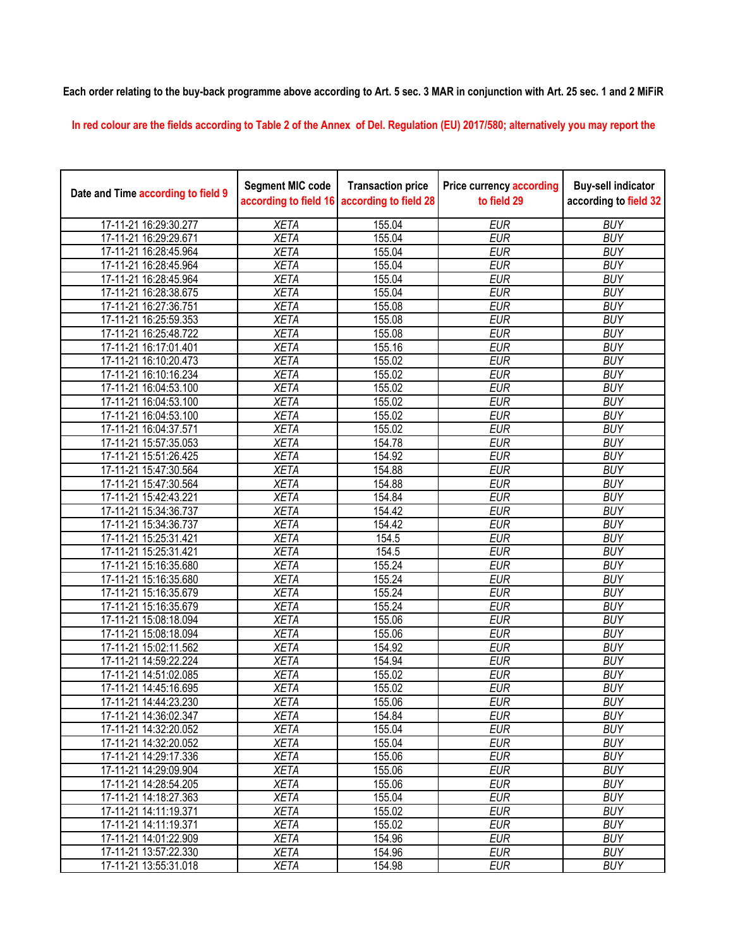**Each order relating to the buy-back programme above according to Art. 5 sec. 3 MAR in conjunction with Art. 25 sec. 1 and 2 MiFiR** 

**In red colour are the fields according to Table 2 of the Annex of Del. Regulation (EU) 2017/580; alternatively you may report the** 

| Date and Time according to field 9 | <b>Segment MIC code</b><br>according to field 16 | <b>Transaction price</b><br>according to field 28 | <b>Price currency according</b><br>to field 29 | <b>Buy-sell indicator</b><br>according to field 32 |
|------------------------------------|--------------------------------------------------|---------------------------------------------------|------------------------------------------------|----------------------------------------------------|
| 17-11-21 16:29:30.277              | <b>XETA</b>                                      | 155.04                                            | <b>EUR</b>                                     | <b>BUY</b>                                         |
| 17-11-21 16:29:29.671              | <b>XETA</b>                                      | 155.04                                            | <b>EUR</b>                                     | <b>BUY</b>                                         |
| 17-11-21 16:28:45.964              | <b>XETA</b>                                      | 155.04                                            | <b>EUR</b>                                     | <b>BUY</b>                                         |
| 17-11-21 16:28:45.964              | <b>XETA</b>                                      | 155.04                                            | <b>EUR</b>                                     | <b>BUY</b>                                         |
| 17-11-21 16:28:45.964              | <b>XETA</b>                                      | 155.04                                            | <b>EUR</b>                                     | <b>BUY</b>                                         |
| 17-11-21 16:28:38.675              | <b>XETA</b>                                      | 155.04                                            | <b>EUR</b>                                     | <b>BUY</b>                                         |
| 17-11-21 16:27:36.751              | <b>XETA</b>                                      | 155.08                                            | <b>EUR</b>                                     | <b>BUY</b>                                         |
| 17-11-21 16:25:59.353              | <b>XETA</b>                                      | 155.08                                            | <b>EUR</b>                                     | <b>BUY</b>                                         |
| 17-11-21 16:25:48.722              | <b>XETA</b>                                      | 155.08                                            | <b>EUR</b>                                     | <b>BUY</b>                                         |
| 17-11-21 16:17:01.401              | <b>XETA</b>                                      | 155.16                                            | <b>EUR</b>                                     | <b>BUY</b>                                         |
| 17-11-21 16:10:20.473              | <b>XETA</b>                                      | 155.02                                            | <b>EUR</b>                                     | <b>BUY</b>                                         |
| 17-11-21 16:10:16.234              | <b>XETA</b>                                      | 155.02                                            | <b>EUR</b>                                     | <b>BUY</b>                                         |
| 17-11-21 16:04:53.100              | <b>XETA</b>                                      | 155.02                                            | <b>EUR</b>                                     | <b>BUY</b>                                         |
| 17-11-21 16:04:53.100              | <b>XETA</b>                                      | 155.02                                            | <b>EUR</b>                                     | <b>BUY</b>                                         |
| 17-11-21 16:04:53.100              | <b>XETA</b>                                      | 155.02                                            | <b>EUR</b>                                     | <b>BUY</b>                                         |
| 17-11-21 16:04:37.571              | <b>XETA</b>                                      | 155.02                                            | <b>EUR</b>                                     | <b>BUY</b>                                         |
| 17-11-21 15:57:35.053              | <b>XETA</b>                                      | 154.78                                            | <b>EUR</b>                                     | <b>BUY</b>                                         |
| 17-11-21 15:51:26.425              | <b>XETA</b>                                      | 154.92                                            | <b>EUR</b>                                     | <b>BUY</b>                                         |
| 17-11-21 15:47:30.564              | <b>XETA</b>                                      | 154.88                                            | <b>EUR</b>                                     | <b>BUY</b>                                         |
| 17-11-21 15:47:30.564              | <b>XETA</b>                                      | 154.88                                            | <b>EUR</b>                                     | <b>BUY</b>                                         |
| 17-11-21 15:42:43.221              | <b>XETA</b>                                      | 154.84                                            | <b>EUR</b>                                     | <b>BUY</b>                                         |
| 17-11-21 15:34:36.737              | <b>XETA</b>                                      | 154.42                                            | <b>EUR</b>                                     | <b>BUY</b>                                         |
| 17-11-21 15:34:36.737              | <b>XETA</b>                                      | 154.42                                            | <b>EUR</b>                                     | <b>BUY</b>                                         |
| 17-11-21 15:25:31.421              | <b>XETA</b>                                      | 154.5                                             | <b>EUR</b>                                     | <b>BUY</b>                                         |
| 17-11-21 15:25:31.421              | <b>XETA</b>                                      | 154.5                                             | <b>EUR</b>                                     | <b>BUY</b>                                         |
| 17-11-21 15:16:35.680              | <b>XETA</b>                                      | 155.24                                            | <b>EUR</b>                                     | <b>BUY</b>                                         |
| 17-11-21 15:16:35.680              | <b>XETA</b>                                      | 155.24                                            | <b>EUR</b>                                     | <b>BUY</b>                                         |
| 17-11-21 15:16:35.679              | <b>XETA</b>                                      | 155.24                                            | <b>EUR</b>                                     | <b>BUY</b>                                         |
| 17-11-21 15:16:35.679              | <b>XETA</b>                                      | 155.24                                            | <b>EUR</b>                                     | <b>BUY</b>                                         |
| 17-11-21 15:08:18.094              | <b>XETA</b>                                      | 155.06                                            | <b>EUR</b>                                     | <b>BUY</b>                                         |
| 17-11-21 15:08:18.094              | <b>XETA</b>                                      | 155.06                                            | <b>EUR</b>                                     | <b>BUY</b>                                         |
| 17-11-21 15:02:11.562              | <b>XETA</b>                                      | 154.92                                            | <b>EUR</b>                                     | <b>BUY</b>                                         |
| 17-11-21 14:59:22.224              | <b>XETA</b>                                      | 154.94                                            | <b>EUR</b>                                     | <b>BUY</b>                                         |
| 17-11-21 14:51:02.085              | <b>XETA</b>                                      | 155.02                                            | <b>EUR</b>                                     | <b>BUY</b>                                         |
| 17-11-21 14:45:16.695              | <b>XETA</b>                                      | 155.02                                            | <b>EUR</b>                                     | <b>BUY</b>                                         |
| 17-11-21 14:44:23.230              | <b>XETA</b>                                      | 155.06                                            | <b>EUR</b>                                     | <b>BUY</b>                                         |
| 17-11-21 14:36:02.347              | <b>XETA</b>                                      | 154.84                                            | <b>EUR</b>                                     | <b>BUY</b>                                         |
| 17-11-21 14:32:20.052              | <b>XETA</b>                                      | 155.04                                            | <b>EUR</b>                                     | <b>BUY</b>                                         |
| 17-11-21 14:32:20.052              | <b>XETA</b>                                      | 155.04                                            | <b>EUR</b>                                     | <b>BUY</b>                                         |
| 17-11-21 14:29:17.336              | <b>XETA</b>                                      | 155.06                                            | <b>EUR</b>                                     | <b>BUY</b>                                         |
| 17-11-21 14:29:09.904              | <b>XETA</b>                                      | 155.06                                            | <b>EUR</b>                                     | <b>BUY</b>                                         |
| 17-11-21 14:28:54.205              | <b>XETA</b>                                      | 155.06                                            | <b>EUR</b>                                     | <b>BUY</b>                                         |
| 17-11-21 14:18:27.363              | <b>XETA</b>                                      | 155.04                                            | <b>EUR</b>                                     | <b>BUY</b>                                         |
| 17-11-21 14:11:19.371              | <b>XETA</b>                                      | 155.02                                            | <b>EUR</b>                                     | <b>BUY</b>                                         |
| 17-11-21 14:11:19.371              | <b>XETA</b>                                      | 155.02                                            | <b>EUR</b>                                     | <b>BUY</b>                                         |
| 17-11-21 14:01:22.909              | <b>XETA</b>                                      | 154.96                                            | <b>EUR</b>                                     | <b>BUY</b>                                         |
| 17-11-21 13:57:22.330              | <b>XETA</b>                                      | 154.96                                            | <b>EUR</b>                                     | <b>BUY</b>                                         |
| 17-11-21 13:55:31.018              | <b>XETA</b>                                      | 154.98                                            | <b>EUR</b>                                     | <b>BUY</b>                                         |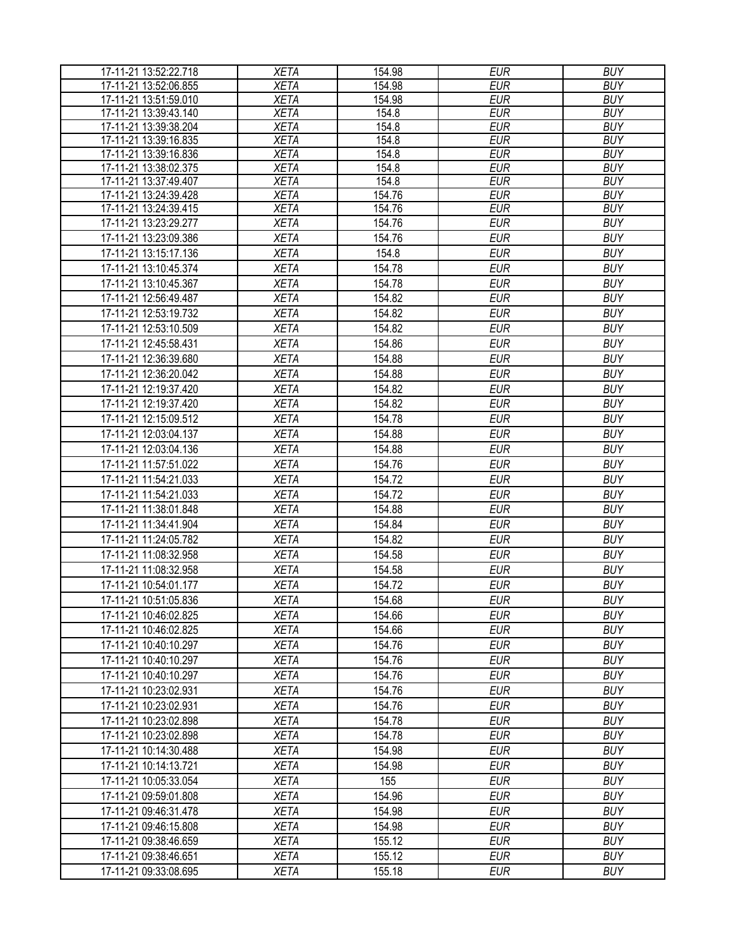| 17-11-21 13:52:22.718 | <b>XETA</b> | 154.98 | <b>EUR</b> | <b>BUY</b> |
|-----------------------|-------------|--------|------------|------------|
| 17-11-21 13:52:06.855 | <b>XETA</b> | 154.98 | <b>EUR</b> | <b>BUY</b> |
| 17-11-21 13:51:59.010 | <b>XETA</b> | 154.98 | <b>EUR</b> | <b>BUY</b> |
| 17-11-21 13:39:43.140 | <b>XETA</b> | 154.8  | <b>EUR</b> | <b>BUY</b> |
| 17-11-21 13:39:38.204 | <b>XETA</b> | 154.8  | <b>EUR</b> | <b>BUY</b> |
| 17-11-21 13:39:16.835 | <b>XETA</b> | 154.8  | <b>EUR</b> | <b>BUY</b> |
| 17-11-21 13:39:16.836 | <b>XETA</b> | 154.8  | <b>EUR</b> | <b>BUY</b> |
| 17-11-21 13:38:02.375 | <b>XETA</b> | 154.8  | <b>EUR</b> | <b>BUY</b> |
| 17-11-21 13:37:49.407 | <b>XETA</b> | 154.8  | <b>EUR</b> | <b>BUY</b> |
| 17-11-21 13:24:39.428 | <b>XETA</b> | 154.76 | <b>EUR</b> | <b>BUY</b> |
| 17-11-21 13:24:39.415 | <b>XETA</b> | 154.76 | <b>EUR</b> | <b>BUY</b> |
| 17-11-21 13:23:29.277 | <b>XETA</b> | 154.76 | <b>EUR</b> | <b>BUY</b> |
| 17-11-21 13:23:09.386 | <b>XETA</b> | 154.76 | <b>EUR</b> | <b>BUY</b> |
| 17-11-21 13:15:17.136 | <b>XETA</b> | 154.8  | <b>EUR</b> | <b>BUY</b> |
| 17-11-21 13:10:45.374 | <b>XETA</b> | 154.78 | <b>EUR</b> | <b>BUY</b> |
| 17-11-21 13:10:45.367 | <b>XETA</b> | 154.78 | <b>EUR</b> | <b>BUY</b> |
| 17-11-21 12:56:49.487 | <b>XETA</b> | 154.82 | <b>EUR</b> | <b>BUY</b> |
| 17-11-21 12:53:19.732 | <b>XETA</b> | 154.82 | <b>EUR</b> | <b>BUY</b> |
| 17-11-21 12:53:10.509 | <b>XETA</b> | 154.82 | <b>EUR</b> | <b>BUY</b> |
| 17-11-21 12:45:58.431 | <b>XETA</b> | 154.86 | <b>EUR</b> | <b>BUY</b> |
| 17-11-21 12:36:39.680 | <b>XETA</b> | 154.88 | <b>EUR</b> | <b>BUY</b> |
| 17-11-21 12:36:20.042 | <b>XETA</b> | 154.88 | <b>EUR</b> | <b>BUY</b> |
| 17-11-21 12:19:37.420 | <b>XETA</b> | 154.82 | <b>EUR</b> | <b>BUY</b> |
| 17-11-21 12:19:37.420 | <b>XETA</b> | 154.82 | <b>EUR</b> | <b>BUY</b> |
| 17-11-21 12:15:09.512 | <b>XETA</b> | 154.78 | <b>EUR</b> | <b>BUY</b> |
| 17-11-21 12:03:04.137 | <b>XETA</b> | 154.88 | <b>EUR</b> | <b>BUY</b> |
| 17-11-21 12:03:04.136 | <b>XETA</b> | 154.88 | <b>EUR</b> | <b>BUY</b> |
| 17-11-21 11:57:51.022 | <b>XETA</b> | 154.76 | <b>EUR</b> | <b>BUY</b> |
| 17-11-21 11:54:21.033 | <b>XETA</b> | 154.72 | <b>EUR</b> | <b>BUY</b> |
| 17-11-21 11:54:21.033 | <b>XETA</b> | 154.72 | <b>EUR</b> | <b>BUY</b> |
| 17-11-21 11:38:01.848 | <b>XETA</b> | 154.88 | <b>EUR</b> | <b>BUY</b> |
| 17-11-21 11:34:41.904 | <b>XETA</b> | 154.84 | <b>EUR</b> | <b>BUY</b> |
| 17-11-21 11:24:05.782 | <b>XETA</b> | 154.82 | <b>EUR</b> | <b>BUY</b> |
| 17-11-21 11:08:32.958 | <b>XETA</b> | 154.58 | <b>EUR</b> | <b>BUY</b> |
| 17-11-21 11:08:32.958 | <b>XETA</b> | 154.58 | <b>EUR</b> | <b>BUY</b> |
| 17-11-21 10:54:01.177 | <b>XETA</b> | 154.72 | <b>EUR</b> | <b>BUY</b> |
| 17-11-21 10:51:05.836 | <b>XETA</b> | 154.68 | <b>EUR</b> | <b>BUY</b> |
| 17-11-21 10:46:02.825 | <b>XETA</b> | 154.66 | <b>EUR</b> | <b>BUY</b> |
| 17-11-21 10:46:02.825 | <b>XETA</b> | 154.66 | <b>EUR</b> | <b>BUY</b> |
| 17-11-21 10:40:10.297 | <b>XETA</b> | 154.76 | <b>EUR</b> | <b>BUY</b> |
| 17-11-21 10:40:10.297 | <b>XETA</b> | 154.76 | <b>EUR</b> | <b>BUY</b> |
| 17-11-21 10:40:10.297 | <b>XETA</b> | 154.76 | <b>EUR</b> | <b>BUY</b> |
| 17-11-21 10:23:02.931 | <b>XETA</b> | 154.76 | <b>EUR</b> | <b>BUY</b> |
| 17-11-21 10:23:02.931 | <b>XETA</b> | 154.76 | <b>EUR</b> | <b>BUY</b> |
| 17-11-21 10:23:02.898 | <b>XETA</b> | 154.78 | <b>EUR</b> | <b>BUY</b> |
| 17-11-21 10:23:02.898 | <b>XETA</b> | 154.78 | <b>EUR</b> | <b>BUY</b> |
| 17-11-21 10:14:30.488 | <b>XETA</b> | 154.98 | <b>EUR</b> | <b>BUY</b> |
| 17-11-21 10:14:13.721 | <b>XETA</b> | 154.98 | <b>EUR</b> | <b>BUY</b> |
| 17-11-21 10:05:33.054 | <b>XETA</b> | 155    | <b>EUR</b> | <b>BUY</b> |
| 17-11-21 09:59:01.808 | <b>XETA</b> | 154.96 | <b>EUR</b> | <b>BUY</b> |
| 17-11-21 09:46:31.478 | <b>XETA</b> | 154.98 | <b>EUR</b> | <b>BUY</b> |
| 17-11-21 09:46:15.808 | <b>XETA</b> | 154.98 | <b>EUR</b> | <b>BUY</b> |
| 17-11-21 09:38:46.659 | <b>XETA</b> | 155.12 | <b>EUR</b> | <b>BUY</b> |
| 17-11-21 09:38:46.651 | <b>XETA</b> | 155.12 | <b>EUR</b> | <b>BUY</b> |
| 17-11-21 09:33:08.695 | <b>XETA</b> | 155.18 | <b>EUR</b> | <b>BUY</b> |
|                       |             |        |            |            |